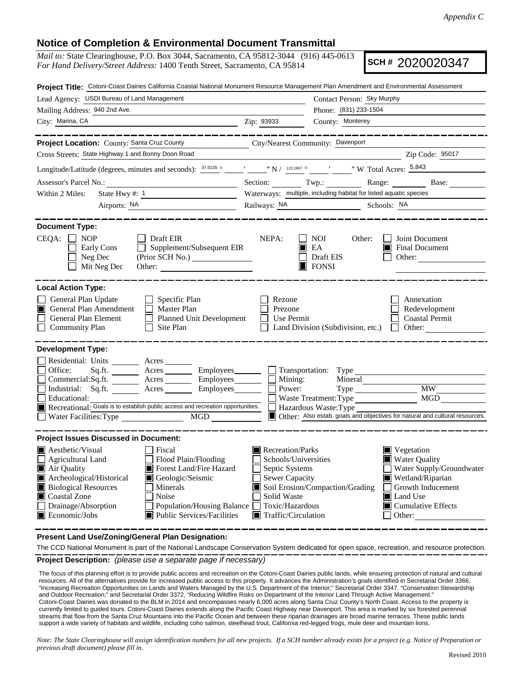## **Notice of Completion & Environmental Document Transmittal**

*Mail to:* State Clearinghouse, P.O. Box 3044, Sacramento, CA 95812-3044 (916) 445-0613 *For Hand Delivery/Street Address:* 1400 Tenth Street, Sacramento, CA 95814

**SCH #** 2020020347

| Project Title: Cotoni-Coast Dairies California Coastal National Monument Resource Management Plan Amendment and Environmental Assessment                                                                                                                                                                                                                                                         |                                                                                                                                                             |                                                                                                                                                                                                  |  |  |
|--------------------------------------------------------------------------------------------------------------------------------------------------------------------------------------------------------------------------------------------------------------------------------------------------------------------------------------------------------------------------------------------------|-------------------------------------------------------------------------------------------------------------------------------------------------------------|--------------------------------------------------------------------------------------------------------------------------------------------------------------------------------------------------|--|--|
| Lead Agency: USDI Bureau of Land Management                                                                                                                                                                                                                                                                                                                                                      |                                                                                                                                                             | Contact Person: Sky Murphy                                                                                                                                                                       |  |  |
| Mailing Address: 940 2nd Ave.                                                                                                                                                                                                                                                                                                                                                                    |                                                                                                                                                             | Phone: (831) 233-1504                                                                                                                                                                            |  |  |
| City: Marina, CA                                                                                                                                                                                                                                                                                                                                                                                 | Zip: 93933                                                                                                                                                  | County: Monterey                                                                                                                                                                                 |  |  |
| Project Location: County: Santa Cruz County<br>Cross Streets: State Highway 1 and Bonny Doon Road                                                                                                                                                                                                                                                                                                | City/Nearest Community: Davenport                                                                                                                           |                                                                                                                                                                                                  |  |  |
|                                                                                                                                                                                                                                                                                                                                                                                                  |                                                                                                                                                             | Zip Code: 95017                                                                                                                                                                                  |  |  |
| Longitude/Latitude (degrees, minutes and seconds): $\frac{37.0135}{9}$ ( $\frac{1}{22.1967}$ ( $\frac{122.1967}{9}$ ( $\frac{1}{22.1967}$ W Total Acres: $\frac{5,843}{9}$                                                                                                                                                                                                                       |                                                                                                                                                             |                                                                                                                                                                                                  |  |  |
| Assessor's Parcel No.:<br><u> 1989 - Johann Barn, mars ann an t-Amhain an t-Amhain an t-Amhain an t-Amhain an t-Amhain an t-Amhain an t-A</u>                                                                                                                                                                                                                                                    |                                                                                                                                                             | Section: Twp.: Range: Base: Base:                                                                                                                                                                |  |  |
| State Hwy #: $1$<br>Within 2 Miles:                                                                                                                                                                                                                                                                                                                                                              |                                                                                                                                                             | Waterways: multiple, including habitat for listed aquatic species                                                                                                                                |  |  |
| Airports: NA                                                                                                                                                                                                                                                                                                                                                                                     |                                                                                                                                                             | Railways: NA Schools: NA                                                                                                                                                                         |  |  |
| <b>Document Type:</b><br>CEQA:<br><b>NOP</b><br>$\Box$ Draft EIR<br>Supplement/Subsequent EIR<br>Early Cons<br>Neg Dec<br>Mit Neg Dec                                                                                                                                                                                                                                                            | NEPA:                                                                                                                                                       | Joint Document<br>NOI<br>Other:<br>$\blacksquare$ EA<br><b>Final Document</b><br>Draft EIS<br>Other:<br>$\Box$ FONSI                                                                             |  |  |
| <b>Local Action Type:</b>                                                                                                                                                                                                                                                                                                                                                                        |                                                                                                                                                             |                                                                                                                                                                                                  |  |  |
| General Plan Update<br>$\Box$ Specific Plan<br>General Plan Amendment<br>$\Box$ Master Plan<br>ш<br>General Plan Element<br>Planned Unit Development<br><b>Community Plan</b><br>Site Plan<br>$\perp$                                                                                                                                                                                            | Rezone<br>Prezone<br>Use Permit<br>$\mathbf{I}$                                                                                                             | Annexation<br>Redevelopment<br><b>Coastal Permit</b><br>Land Division (Subdivision, etc.)<br>Other:<br>$\mathbf{1}$                                                                              |  |  |
| <b>Development Type:</b>                                                                                                                                                                                                                                                                                                                                                                         |                                                                                                                                                             |                                                                                                                                                                                                  |  |  |
| Residential: Units ________ Acres _____<br>Office:<br>Sq.ft. ________ Acres _________ Employees ________ __ Transportation: Type<br>$Commercial:Sq.fit.$ Acres Employees $\Box$ Mining:<br>Industrial: Sq.ft. _______ Acres _______ Employees _______ $\Box$<br>Educational:<br>Recreational: Goals is to establish public access and recreation opportunities.<br>Water Facilities: Type<br>MGD | Power:                                                                                                                                                      | Mineral<br><b>MW</b><br>Type<br>MGD<br>Waste Treatment: Type<br>Hazardous Waste: Type<br>Other: Also estab. goals and objectives for natural and cultural resources.                             |  |  |
| <b>Project Issues Discussed in Document:</b>                                                                                                                                                                                                                                                                                                                                                     |                                                                                                                                                             |                                                                                                                                                                                                  |  |  |
| $\blacksquare$ Aesthetic/Visual<br>Fiscal<br>$\Box$ Agricultural Land<br>Flood Plain/Flooding<br>Air Quality<br>Forest Land/Fire Hazard<br>m<br>Archeological/Historical<br>Geologic/Seismic<br><b>Biological Resources</b><br>Minerals<br>Coastal Zone<br>Noise<br>Drainage/Absorption<br>Population/Housing Balance<br>Public Services/Facilities<br>Economic/Jobs                             | Recreation/Parks<br>Schools/Universities<br>Septic Systems<br><b>Sewer Capacity</b><br>Solid Waste<br>Toxic/Hazardous<br>$\blacksquare$ Traffic/Circulation | ■ Vegetation<br>Water Quality<br>Water Supply/Groundwater<br>Wetland/Riparian<br>Soil Erosion/Compaction/Grading<br>Growth Inducement<br>Land Use<br>$\blacksquare$ Cumulative Effects<br>Other: |  |  |

**Present Land Use/Zoning/General Plan Designation:**

**Project Description:** *(please use a separate page if necessary)* The CCD National Monument is part of the National Landscape Conservation System dedicated for open space, recreation, and resource protection.

 The focus of this planning effort is to provide public access and recreation on the Cotoni-Coast Dairies public lands, while ensuring protection of natural and cultural resources. All of the alternatives provide for increased public access to this property. It advances the Administration's goals identified in Secretarial Order 3366, "Increasing Recreation Opportunities on Lands and Waters Managed by the U.S. Department of the Interior;" Secretarial Order 3347, "Conservation Stewardship and Outdoor Recreation;" and Secretarial Order 3372, "Reducing Wildfire Risks on Department of the Interior Land Through Active Management." Cotoni-Coast Dairies was donated to the BLM in 2014 and encompasses nearly 6,000 acres along Santa Cruz County's North Coast. Access to the property is currently limited to guided tours. Cotoni-Coast Dairies extends along the Pacific Coast Highway near Davenport. This area is marked by six forested perennial streams that flow from the Santa Cruz Mountains into the Pacific Ocean and between these riparian drainages are broad marine terraces. These public lands support a wide variety of habitats and wildlife, including coho salmon, steelhead trout, California red-legged frogs, mule deer and mountain lions.

*Note: The State Clearinghouse will assign identification numbers for all new projects. If a SCH number already exists for a project (e.g. Notice of Preparation or previous draft document) please fill in.*